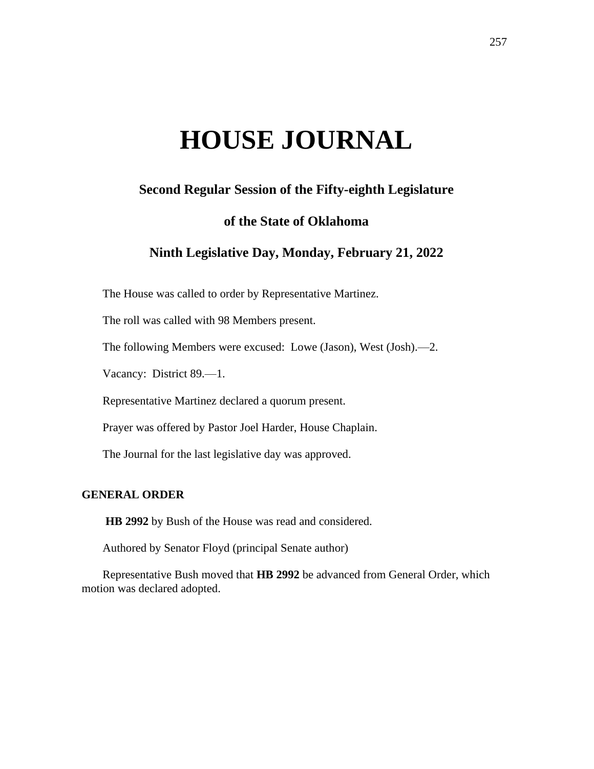# **HOUSE JOURNAL**

# **Second Regular Session of the Fifty-eighth Legislature**

# **of the State of Oklahoma**

# **Ninth Legislative Day, Monday, February 21, 2022**

The House was called to order by Representative Martinez.

The roll was called with 98 Members present.

The following Members were excused: Lowe (Jason), West (Josh).—2.

Vacancy: District 89.—1.

Representative Martinez declared a quorum present.

Prayer was offered by Pastor Joel Harder, House Chaplain.

The Journal for the last legislative day was approved.

## **GENERAL ORDER**

**HB 2992** by Bush of the House was read and considered.

Authored by Senator Floyd (principal Senate author)

Representative Bush moved that **HB 2992** be advanced from General Order, which motion was declared adopted.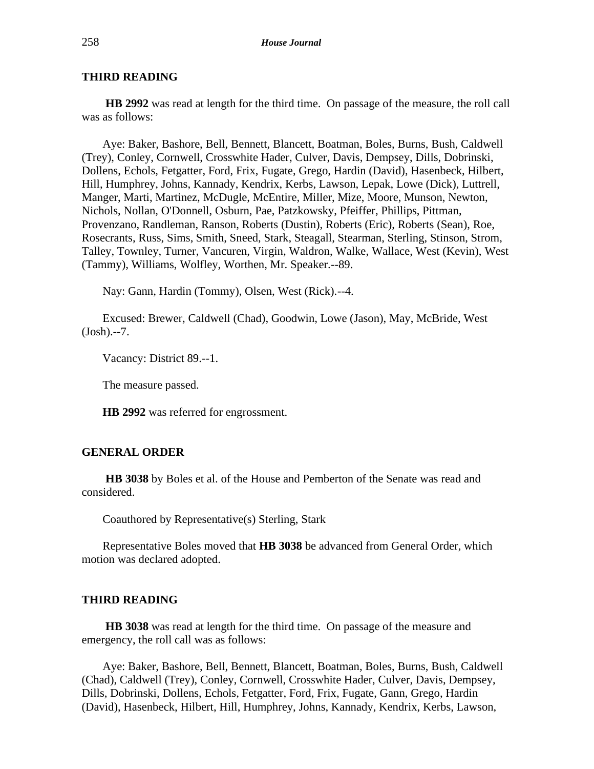## **THIRD READING**

**HB 2992** was read at length for the third time. On passage of the measure, the roll call was as follows:

Aye: Baker, Bashore, Bell, Bennett, Blancett, Boatman, Boles, Burns, Bush, Caldwell (Trey), Conley, Cornwell, Crosswhite Hader, Culver, Davis, Dempsey, Dills, Dobrinski, Dollens, Echols, Fetgatter, Ford, Frix, Fugate, Grego, Hardin (David), Hasenbeck, Hilbert, Hill, Humphrey, Johns, Kannady, Kendrix, Kerbs, Lawson, Lepak, Lowe (Dick), Luttrell, Manger, Marti, Martinez, McDugle, McEntire, Miller, Mize, Moore, Munson, Newton, Nichols, Nollan, O'Donnell, Osburn, Pae, Patzkowsky, Pfeiffer, Phillips, Pittman, Provenzano, Randleman, Ranson, Roberts (Dustin), Roberts (Eric), Roberts (Sean), Roe, Rosecrants, Russ, Sims, Smith, Sneed, Stark, Steagall, Stearman, Sterling, Stinson, Strom, Talley, Townley, Turner, Vancuren, Virgin, Waldron, Walke, Wallace, West (Kevin), West (Tammy), Williams, Wolfley, Worthen, Mr. Speaker.--89.

Nay: Gann, Hardin (Tommy), Olsen, West (Rick).--4.

Excused: Brewer, Caldwell (Chad), Goodwin, Lowe (Jason), May, McBride, West (Josh).--7.

Vacancy: District 89.--1.

The measure passed.

**HB 2992** was referred for engrossment.

## **GENERAL ORDER**

**HB 3038** by Boles et al. of the House and Pemberton of the Senate was read and considered.

Coauthored by Representative(s) Sterling, Stark

Representative Boles moved that **HB 3038** be advanced from General Order, which motion was declared adopted.

#### **THIRD READING**

**HB 3038** was read at length for the third time. On passage of the measure and emergency, the roll call was as follows:

Aye: Baker, Bashore, Bell, Bennett, Blancett, Boatman, Boles, Burns, Bush, Caldwell (Chad), Caldwell (Trey), Conley, Cornwell, Crosswhite Hader, Culver, Davis, Dempsey, Dills, Dobrinski, Dollens, Echols, Fetgatter, Ford, Frix, Fugate, Gann, Grego, Hardin (David), Hasenbeck, Hilbert, Hill, Humphrey, Johns, Kannady, Kendrix, Kerbs, Lawson,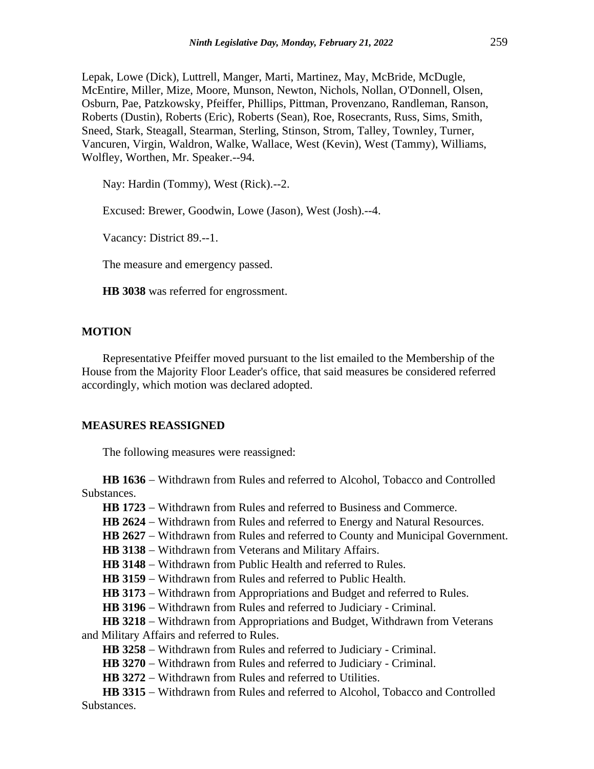Lepak, Lowe (Dick), Luttrell, Manger, Marti, Martinez, May, McBride, McDugle, McEntire, Miller, Mize, Moore, Munson, Newton, Nichols, Nollan, O'Donnell, Olsen, Osburn, Pae, Patzkowsky, Pfeiffer, Phillips, Pittman, Provenzano, Randleman, Ranson, Roberts (Dustin), Roberts (Eric), Roberts (Sean), Roe, Rosecrants, Russ, Sims, Smith, Sneed, Stark, Steagall, Stearman, Sterling, Stinson, Strom, Talley, Townley, Turner, Vancuren, Virgin, Waldron, Walke, Wallace, West (Kevin), West (Tammy), Williams, Wolfley, Worthen, Mr. Speaker.--94.

Nay: Hardin (Tommy), West (Rick).--2.

Excused: Brewer, Goodwin, Lowe (Jason), West (Josh).--4.

Vacancy: District 89.--1.

The measure and emergency passed.

**HB 3038** was referred for engrossment.

## **MOTION**

Representative Pfeiffer moved pursuant to the list emailed to the Membership of the House from the Majority Floor Leader's office, that said measures be considered referred accordingly, which motion was declared adopted.

#### **MEASURES REASSIGNED**

The following measures were reassigned:

**HB 1636** − Withdrawn from Rules and referred to Alcohol, Tobacco and Controlled Substances.

HB 1723 − Withdrawn from Rules and referred to Business and Commerce.

**HB 2624** − Withdrawn from Rules and referred to Energy and Natural Resources.

HB 2627 − Withdrawn from Rules and referred to County and Municipal Government.

**HB 3138** − Withdrawn from Veterans and Military Affairs.

**HB 3148** − Withdrawn from Public Health and referred to Rules.

**HB 3159** − Withdrawn from Rules and referred to Public Health.

**HB 3173** − Withdrawn from Appropriations and Budget and referred to Rules.

**HB 3196** − Withdrawn from Rules and referred to Judiciary - Criminal.

**HB 3218** − Withdrawn from Appropriations and Budget, Withdrawn from Veterans and Military Affairs and referred to Rules.

**HB 3258** − Withdrawn from Rules and referred to Judiciary - Criminal.

**HB 3270** − Withdrawn from Rules and referred to Judiciary - Criminal.

**HB 3272** − Withdrawn from Rules and referred to Utilities.

**HB 3315** − Withdrawn from Rules and referred to Alcohol, Tobacco and Controlled Substances.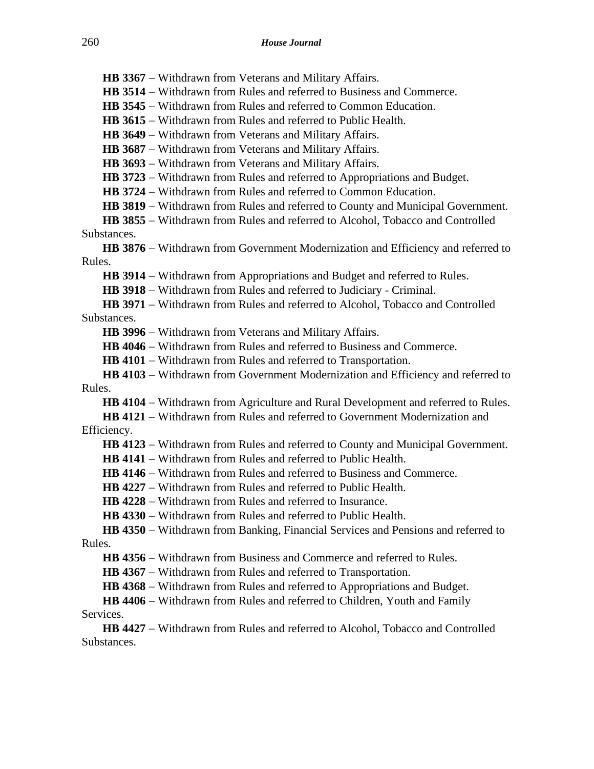**HB 3367** − Withdrawn from Veterans and Military Affairs.

**HB 3514** − Withdrawn from Rules and referred to Business and Commerce.

**HB 3545** − Withdrawn from Rules and referred to Common Education.

**HB 3615** − Withdrawn from Rules and referred to Public Health.

HB 3649 − Withdrawn from Veterans and Military Affairs.

**HB 3687** − Withdrawn from Veterans and Military Affairs.

**HB 3693** − Withdrawn from Veterans and Military Affairs.

**HB 3723** − Withdrawn from Rules and referred to Appropriations and Budget.

**HB 3724** − Withdrawn from Rules and referred to Common Education.

**HB 3819** − Withdrawn from Rules and referred to County and Municipal Government.

**HB 3855** − Withdrawn from Rules and referred to Alcohol, Tobacco and Controlled Substances.

**HB 3876** − Withdrawn from Government Modernization and Efficiency and referred to Rules.

**HB 3914** − Withdrawn from Appropriations and Budget and referred to Rules.

**HB 3918** − Withdrawn from Rules and referred to Judiciary - Criminal.

**HB 3971** − Withdrawn from Rules and referred to Alcohol, Tobacco and Controlled Substances.

**HB 3996** − Withdrawn from Veterans and Military Affairs.

**HB 4046** − Withdrawn from Rules and referred to Business and Commerce.

**HB 4101** − Withdrawn from Rules and referred to Transportation.

**HB 4103** − Withdrawn from Government Modernization and Efficiency and referred to Rules.

**HB 4104** − Withdrawn from Agriculture and Rural Development and referred to Rules.

**HB 4121** − Withdrawn from Rules and referred to Government Modernization and Efficiency.

**HB 4123** − Withdrawn from Rules and referred to County and Municipal Government.

**HB 4141** − Withdrawn from Rules and referred to Public Health.

**HB 4146** − Withdrawn from Rules and referred to Business and Commerce.

**HB 4227** − Withdrawn from Rules and referred to Public Health.

**HB 4228** − Withdrawn from Rules and referred to Insurance.

**HB 4330** − Withdrawn from Rules and referred to Public Health.

**HB 4350** − Withdrawn from Banking, Financial Services and Pensions and referred to Rules.

**HB 4356** − Withdrawn from Business and Commerce and referred to Rules.

**HB 4367** − Withdrawn from Rules and referred to Transportation.

HB 4368 − Withdrawn from Rules and referred to Appropriations and Budget.

**HB 4406** − Withdrawn from Rules and referred to Children, Youth and Family Services.

**HB 4427** − Withdrawn from Rules and referred to Alcohol, Tobacco and Controlled Substances.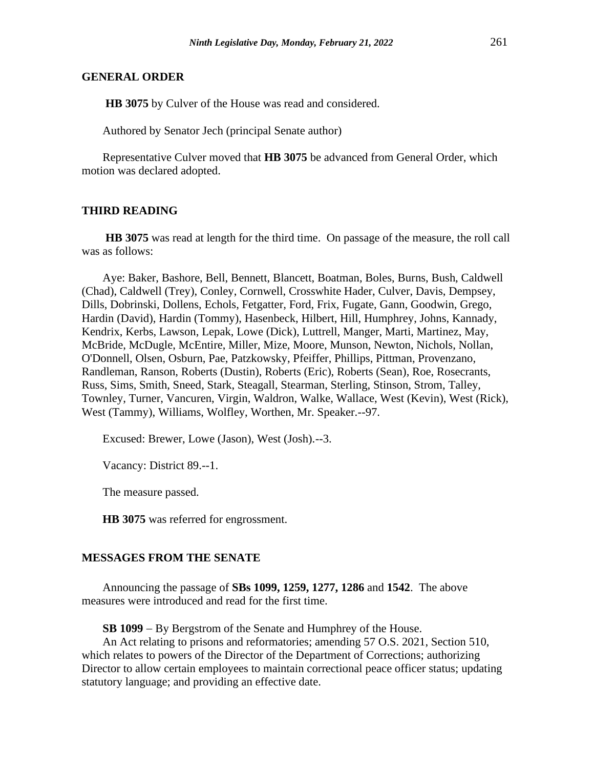#### **GENERAL ORDER**

**HB 3075** by Culver of the House was read and considered.

Authored by Senator Jech (principal Senate author)

Representative Culver moved that **HB 3075** be advanced from General Order, which motion was declared adopted.

#### **THIRD READING**

**HB 3075** was read at length for the third time. On passage of the measure, the roll call was as follows:

Aye: Baker, Bashore, Bell, Bennett, Blancett, Boatman, Boles, Burns, Bush, Caldwell (Chad), Caldwell (Trey), Conley, Cornwell, Crosswhite Hader, Culver, Davis, Dempsey, Dills, Dobrinski, Dollens, Echols, Fetgatter, Ford, Frix, Fugate, Gann, Goodwin, Grego, Hardin (David), Hardin (Tommy), Hasenbeck, Hilbert, Hill, Humphrey, Johns, Kannady, Kendrix, Kerbs, Lawson, Lepak, Lowe (Dick), Luttrell, Manger, Marti, Martinez, May, McBride, McDugle, McEntire, Miller, Mize, Moore, Munson, Newton, Nichols, Nollan, O'Donnell, Olsen, Osburn, Pae, Patzkowsky, Pfeiffer, Phillips, Pittman, Provenzano, Randleman, Ranson, Roberts (Dustin), Roberts (Eric), Roberts (Sean), Roe, Rosecrants, Russ, Sims, Smith, Sneed, Stark, Steagall, Stearman, Sterling, Stinson, Strom, Talley, Townley, Turner, Vancuren, Virgin, Waldron, Walke, Wallace, West (Kevin), West (Rick), West (Tammy), Williams, Wolfley, Worthen, Mr. Speaker.--97.

Excused: Brewer, Lowe (Jason), West (Josh).--3.

Vacancy: District 89.--1.

The measure passed.

**HB 3075** was referred for engrossment.

#### **MESSAGES FROM THE SENATE**

Announcing the passage of **SBs 1099, 1259, 1277, 1286** and **1542**. The above measures were introduced and read for the first time.

**SB 1099** − By Bergstrom of the Senate and Humphrey of the House.

An Act relating to prisons and reformatories; amending 57 O.S. 2021, Section 510, which relates to powers of the Director of the Department of Corrections; authorizing Director to allow certain employees to maintain correctional peace officer status; updating statutory language; and providing an effective date.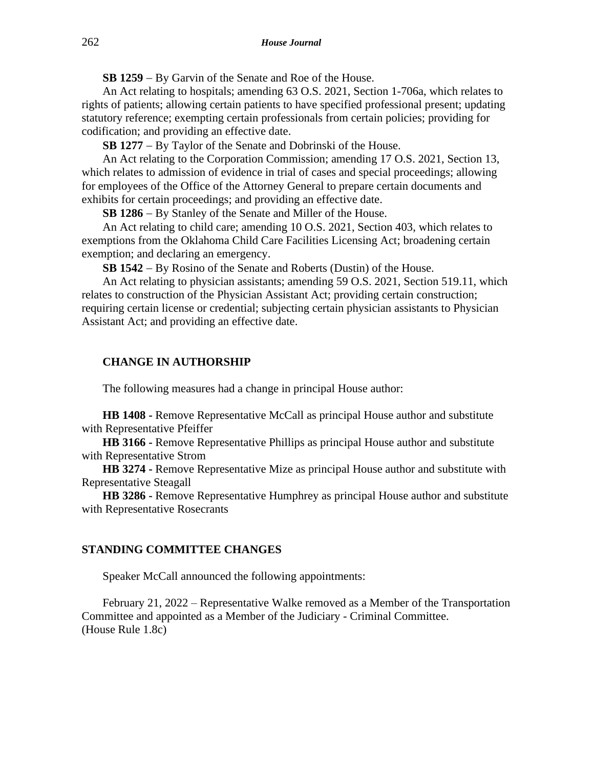**SB 1259** − By Garvin of the Senate and Roe of the House.

An Act relating to hospitals; amending 63 O.S. 2021, Section 1-706a, which relates to rights of patients; allowing certain patients to have specified professional present; updating statutory reference; exempting certain professionals from certain policies; providing for codification; and providing an effective date.

**SB 1277** − By Taylor of the Senate and Dobrinski of the House.

An Act relating to the Corporation Commission; amending 17 O.S. 2021, Section 13, which relates to admission of evidence in trial of cases and special proceedings; allowing for employees of the Office of the Attorney General to prepare certain documents and exhibits for certain proceedings; and providing an effective date.

**SB 1286** − By Stanley of the Senate and Miller of the House.

An Act relating to child care; amending 10 O.S. 2021, Section 403, which relates to exemptions from the Oklahoma Child Care Facilities Licensing Act; broadening certain exemption; and declaring an emergency.

**SB 1542** − By Rosino of the Senate and Roberts (Dustin) of the House.

An Act relating to physician assistants; amending 59 O.S. 2021, Section 519.11, which relates to construction of the Physician Assistant Act; providing certain construction; requiring certain license or credential; subjecting certain physician assistants to Physician Assistant Act; and providing an effective date.

### **CHANGE IN AUTHORSHIP**

The following measures had a change in principal House author:

**HB 1408 -** Remove Representative McCall as principal House author and substitute with Representative Pfeiffer

**HB 3166 -** Remove Representative Phillips as principal House author and substitute with Representative Strom

**HB 3274 -** Remove Representative Mize as principal House author and substitute with Representative Steagall

**HB 3286 -** Remove Representative Humphrey as principal House author and substitute with Representative Rosecrants

## **STANDING COMMITTEE CHANGES**

Speaker McCall announced the following appointments:

February 21, 2022 – Representative Walke removed as a Member of the Transportation Committee and appointed as a Member of the Judiciary - Criminal Committee. (House Rule 1.8c)